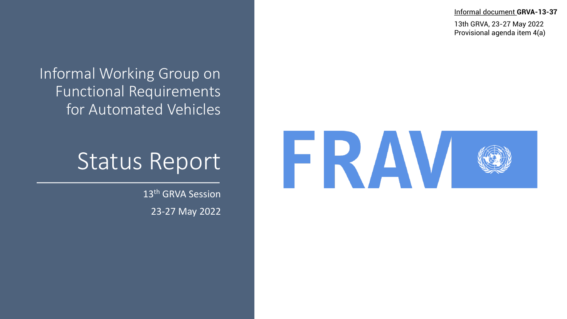Informal document **GRVA-13-37**

13th GRVA, 23-27 May 2022 Provisional agenda item 4(a)

#### Informal Working Group on Functional Requirements for Automated Vehicles

#### Status Report

13<sup>th</sup> GRVA Session 23-27 May 2022

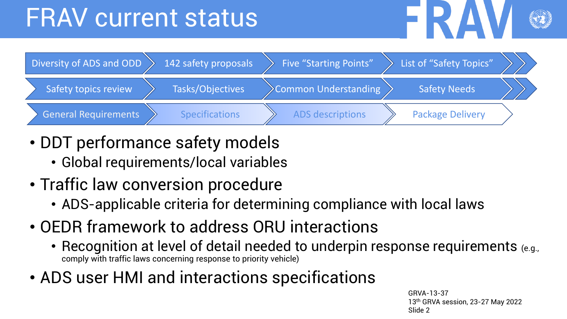## FRAV current status





- DDT performance safety models
	- Global requirements/local variables
- Traffic law conversion procedure
	- ADS-applicable criteria for determining compliance with local laws
- OEDR framework to address ORU interactions
	- Recognition at level of detail needed to underpin response requirements (e.g., comply with traffic laws concerning response to priority vehicle)
- ADS user HMI and interactions specifications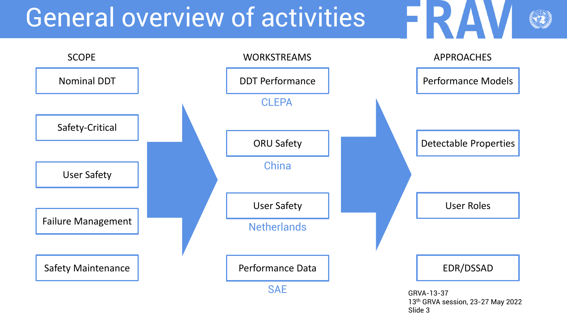## General overview of activities



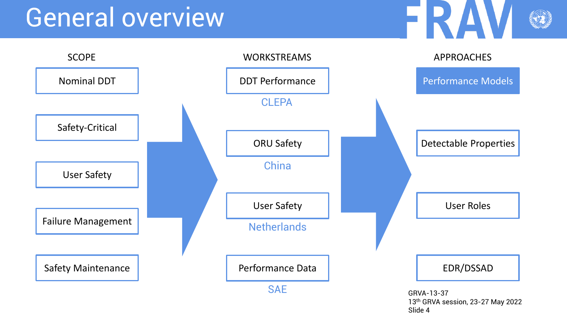

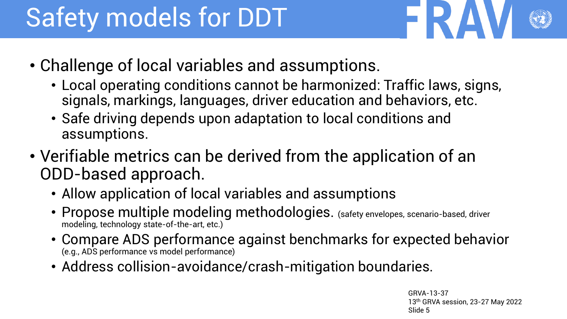# Safety models for DDT

- 
- Challenge of local variables and assumptions.
	- Local operating conditions cannot be harmonized: Traffic laws, signs, signals, markings, languages, driver education and behaviors, etc.
	- Safe driving depends upon adaptation to local conditions and assumptions.
- Verifiable metrics can be derived from the application of an ODD-based approach.
	- Allow application of local variables and assumptions
	- Propose multiple modeling methodologies. (safety envelopes, scenario-based, driver modeling, technology state-of-the-art, etc.)
	- Compare ADS performance against benchmarks for expected behavior (e.g., ADS performance vs model performance)
	- Address collision-avoidance/crash-mitigation boundaries.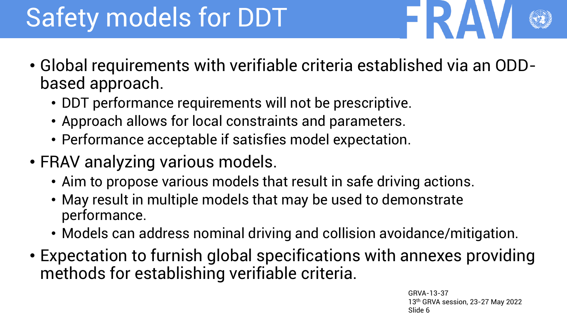# Safety models for DDT

- Global requirements with verifiable criteria established via an ODDbased approach.
	- DDT performance requirements will not be prescriptive.
	- Approach allows for local constraints and parameters.
	- Performance acceptable if satisfies model expectation.
- FRAV analyzing various models.
	- Aim to propose various models that result in safe driving actions.
	- May result in multiple models that may be used to demonstrate performance.
	- Models can address nominal driving and collision avoidance/mitigation.
- Expectation to furnish global specifications with annexes providing methods for establishing verifiable criteria.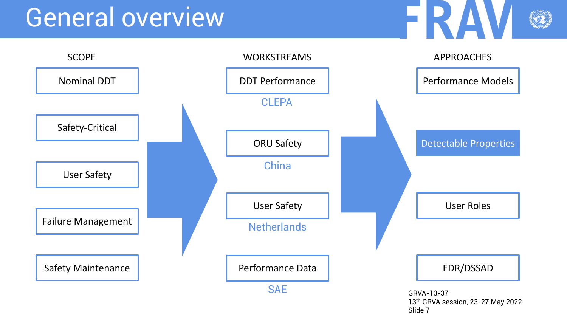

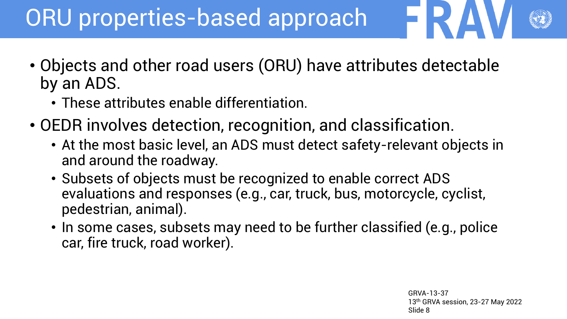#### ORU properties-based approach

- Objects and other road users (ORU) have attributes detectable by an ADS.
	- These attributes enable differentiation.
- OEDR involves detection, recognition, and classification.
	- At the most basic level, an ADS must detect safety-relevant objects in and around the roadway.
	- Subsets of objects must be recognized to enable correct ADS evaluations and responses (e.g., car, truck, bus, motorcycle, cyclist, pedestrian, animal).
	- In some cases, subsets may need to be further classified (e.g., police car, fire truck, road worker).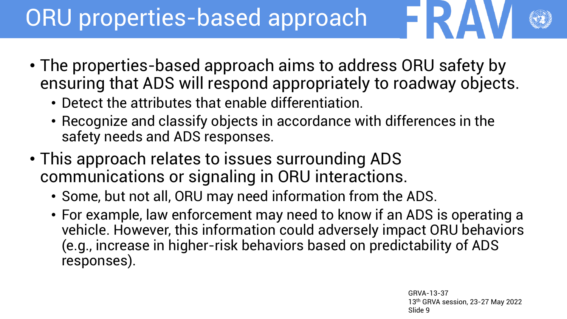#### ORU properties-based approach

- The properties-based approach aims to address ORU safety by ensuring that ADS will respond appropriately to roadway objects.
	- Detect the attributes that enable differentiation.
	- Recognize and classify objects in accordance with differences in the safety needs and ADS responses.
- This approach relates to issues surrounding ADS communications or signaling in ORU interactions.
	- Some, but not all, ORU may need information from the ADS.
	- For example, law enforcement may need to know if an ADS is operating a vehicle. However, this information could adversely impact ORU behaviors (e.g., increase in higher-risk behaviors based on predictability of ADS responses).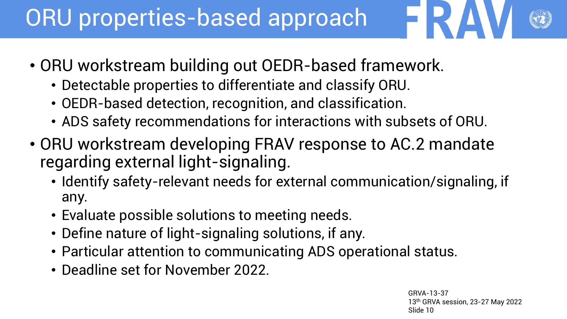#### ORU properties-based approach

- ORU workstream building out OEDR-based framework.
	- Detectable properties to differentiate and classify ORU.
	- OEDR-based detection, recognition, and classification.
	- ADS safety recommendations for interactions with subsets of ORU.
- ORU workstream developing FRAV response to AC.2 mandate regarding external light-signaling.
	- Identify safety-relevant needs for external communication/signaling, if any.
	- Evaluate possible solutions to meeting needs.
	- Define nature of light-signaling solutions, if any.
	- Particular attention to communicating ADS operational status.
	- Deadline set for November 2022.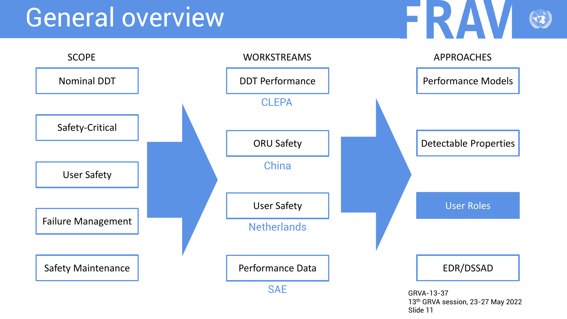

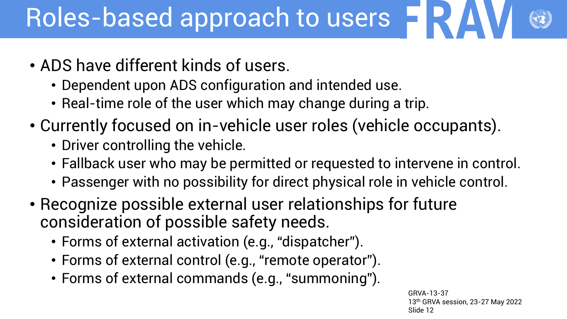## Roles-based approach to users  $\blacksquare$

- ADS have different kinds of users.
	- Dependent upon ADS configuration and intended use.
	- Real-time role of the user which may change during a trip.
- Currently focused on in-vehicle user roles (vehicle occupants).
	- Driver controlling the vehicle.
	- Fallback user who may be permitted or requested to intervene in control.
	- Passenger with no possibility for direct physical role in vehicle control.
- Recognize possible external user relationships for future consideration of possible safety needs.
	- Forms of external activation (e.g., "dispatcher").
	- Forms of external control (e.g., "remote operator").
	- Forms of external commands (e.g., "summoning").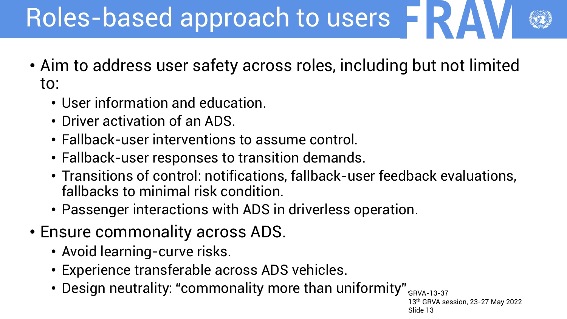## Roles-based approach to users

- Aim to address user safety across roles, including but not limited to:
	- User information and education.
	- Driver activation of an ADS.
	- Fallback-user interventions to assume control.
	- Fallback-user responses to transition demands.
	- Transitions of control: notifications, fallback-user feedback evaluations, fallbacks to minimal risk condition.
	- Passenger interactions with ADS in driverless operation.
- Ensure commonality across ADS.
	- Avoid learning-curve risks.
	- Experience transferable across ADS vehicles.
	- Design neutrality: "commonality more than uniformity" $_{\tiny{\text{GRVA-13-37}}}$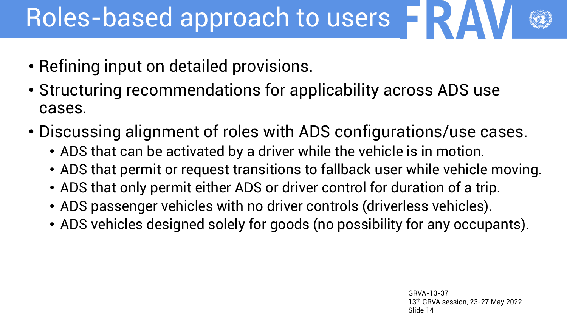## Roles-based approach to users  $\blacksquare$

- Refining input on detailed provisions.
- Structuring recommendations for applicability across ADS use cases.
- Discussing alignment of roles with ADS configurations/use cases.
	- ADS that can be activated by a driver while the vehicle is in motion.
	- ADS that permit or request transitions to fallback user while vehicle moving.
	- ADS that only permit either ADS or driver control for duration of a trip.
	- ADS passenger vehicles with no driver controls (driverless vehicles).
	- ADS vehicles designed solely for goods (no possibility for any occupants).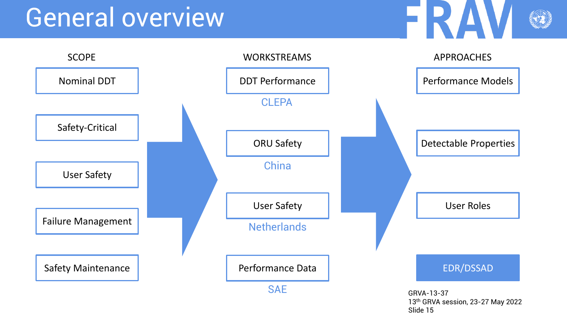

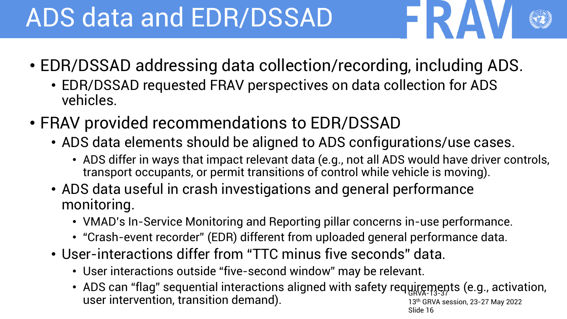## ADS data and EDR/DSSAD

- EDR/DSSAD addressing data collection/recording, including ADS.
	- EDR/DSSAD requested FRAV perspectives on data collection for ADS vehicles.
- FRAV provided recommendations to EDR/DSSAD
	- ADS data elements should be aligned to ADS configurations/use cases.
		- ADS differ in ways that impact relevant data (e.g., not all ADS would have driver controls, transport occupants, or permit transitions of control while vehicle is moving).
	- ADS data useful in crash investigations and general performance monitoring.
		- VMAD's In-Service Monitoring and Reporting pillar concerns in-use performance.
		- "Crash-event recorder" (EDR) different from uploaded general performance data.
	- User-interactions differ from "TTC minus five seconds" data.
		- User interactions outside "five-second window" may be relevant.
		- ADS can "flag" sequential interactions aligned with safety requirements (e.g., activation, 13th GRVA session, 23-27 May 2022 Slide 16 user intervention, transition demand).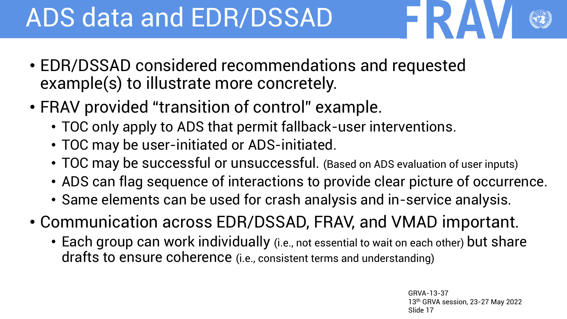## ADS data and EDR/DSSAD

- EDR/DSSAD considered recommendations and requested example(s) to illustrate more concretely.
- FRAV provided "transition of control" example.
	- TOC only apply to ADS that permit fallback-user interventions.
	- TOC may be user-initiated or ADS-initiated.
	- TOC may be successful or unsuccessful. (Based on ADS evaluation of user inputs)
	- ADS can flag sequence of interactions to provide clear picture of occurrence.
	- Same elements can be used for crash analysis and in-service analysis.
- Communication across EDR/DSSAD, FRAV, and VMAD important.
	- Each group can work individually (i.e., not essential to wait on each other) but share drafts to ensure coherence (i.e., consistent terms and understanding)